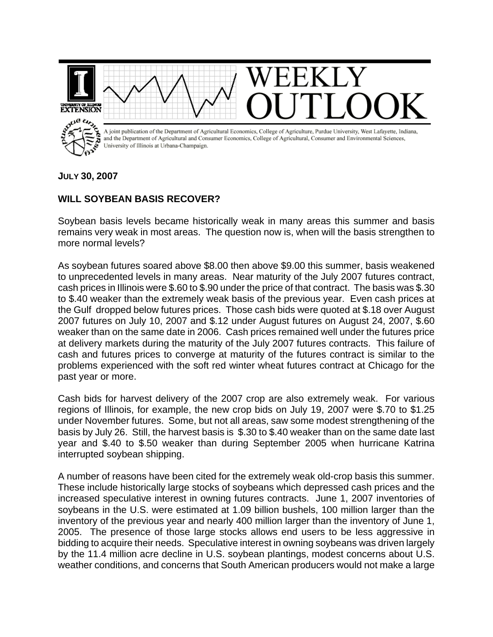

**JULY 30, 2007**

## **WILL SOYBEAN BASIS RECOVER?**

Soybean basis levels became historically weak in many areas this summer and basis remains very weak in most areas. The question now is, when will the basis strengthen to more normal levels?

As soybean futures soared above \$8.00 then above \$9.00 this summer, basis weakened to unprecedented levels in many areas. Near maturity of the July 2007 futures contract, cash prices in Illinois were \$.60 to \$.90 under the price of that contract. The basis was \$.30 to \$.40 weaker than the extremely weak basis of the previous year. Even cash prices at the Gulf dropped below futures prices. Those cash bids were quoted at \$.18 over August 2007 futures on July 10, 2007 and \$.12 under August futures on August 24, 2007, \$.60 weaker than on the same date in 2006. Cash prices remained well under the futures price at delivery markets during the maturity of the July 2007 futures contracts. This failure of cash and futures prices to converge at maturity of the futures contract is similar to the problems experienced with the soft red winter wheat futures contract at Chicago for the past year or more.

Cash bids for harvest delivery of the 2007 crop are also extremely weak. For various regions of Illinois, for example, the new crop bids on July 19, 2007 were \$.70 to \$1.25 under November futures. Some, but not all areas, saw some modest strengthening of the basis by July 26. Still, the harvest basis is \$.30 to \$.40 weaker than on the same date last year and \$.40 to \$.50 weaker than during September 2005 when hurricane Katrina interrupted soybean shipping.

A number of reasons have been cited for the extremely weak old-crop basis this summer. These include historically large stocks of soybeans which depressed cash prices and the increased speculative interest in owning futures contracts. June 1, 2007 inventories of soybeans in the U.S. were estimated at 1.09 billion bushels, 100 million larger than the inventory of the previous year and nearly 400 million larger than the inventory of June 1, 2005. The presence of those large stocks allows end users to be less aggressive in bidding to acquire their needs. Speculative interest in owning soybeans was driven largely by the 11.4 million acre decline in U.S. soybean plantings, modest concerns about U.S. weather conditions, and concerns that South American producers would not make a large